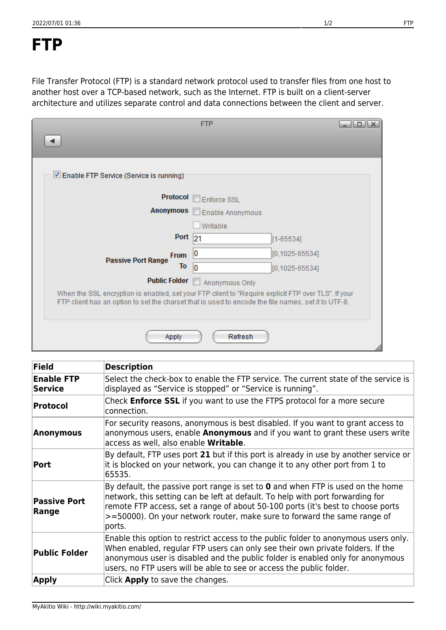## **FTP**

File Transfer Protocol (FTP) is a standard network protocol used to transfer files from one host to another host over a TCP-based network, such as the Internet. FTP is built on a client-server architecture and utilizes separate control and data connections between the client and server.

|                                                                                                                                                                                                            | <b>FTP</b>                 | $  D $ $x$          |
|------------------------------------------------------------------------------------------------------------------------------------------------------------------------------------------------------------|----------------------------|---------------------|
|                                                                                                                                                                                                            |                            |                     |
| Enable FTP Service (Service is running)                                                                                                                                                                    |                            |                     |
| <b>Protocol</b>                                                                                                                                                                                            | Enforce SSL                |                     |
|                                                                                                                                                                                                            | Anonymous Enable Anonymous |                     |
|                                                                                                                                                                                                            | Writable                   |                     |
| Port <sub>21</sub>                                                                                                                                                                                         |                            | $[1 - 65534]$       |
| <b>From</b><br><b>Passive Port Range</b>                                                                                                                                                                   | Ю                          | $[0, 1025 - 65534]$ |
| To                                                                                                                                                                                                         | 10                         | $[0, 1025 - 65534]$ |
| <b>Public Folder</b>                                                                                                                                                                                       | Anonymous Only             |                     |
| When the SSL encryption is enabled, set your FTP client to "Require explicit FTP over TLS". If your<br>FTP client has an option to set the charset that is used to encode the file names, set it to UTF-8. |                            |                     |
| Apply                                                                                                                                                                                                      | Refresh                    |                     |

| Field                        | <b>Description</b>                                                                                                                                                                                                                                                                                                                                        |  |
|------------------------------|-----------------------------------------------------------------------------------------------------------------------------------------------------------------------------------------------------------------------------------------------------------------------------------------------------------------------------------------------------------|--|
| <b>Enable FTP</b><br>Service | Select the check-box to enable the FTP service. The current state of the service is<br>displayed as "Service is stopped" or "Service is running".                                                                                                                                                                                                         |  |
| Protocol                     | Check <b>Enforce SSL</b> if you want to use the FTPS protocol for a more secure<br>connection.                                                                                                                                                                                                                                                            |  |
| Anonymous                    | For security reasons, anonymous is best disabled. If you want to grant access to<br>anonymous users, enable <b>Anonymous</b> and if you want to grant these users write<br>access as well, also enable Writable.                                                                                                                                          |  |
| <b>Port</b>                  | By default, FTP uses port 21 but if this port is already in use by another service or<br>it is blocked on your network, you can change it to any other port from 1 to<br>65535.                                                                                                                                                                           |  |
| <b>Passive Port</b><br>Range | By default, the passive port range is set to $\boldsymbol{0}$ and when FTP is used on the home<br>network, this setting can be left at default. To help with port forwarding for<br>remote FTP access, set a range of about 50-100 ports (it's best to choose ports<br>>=50000). On your network router, make sure to forward the same range of<br>ports. |  |
| <b>Public Folder</b>         | Enable this option to restrict access to the public folder to anonymous users only.<br>When enabled, regular FTP users can only see their own private folders. If the<br>anonymous user is disabled and the public folder is enabled only for anonymous<br>users, no FTP users will be able to see or access the public folder.                           |  |
| Apply                        | Click <b>Apply</b> to save the changes.                                                                                                                                                                                                                                                                                                                   |  |